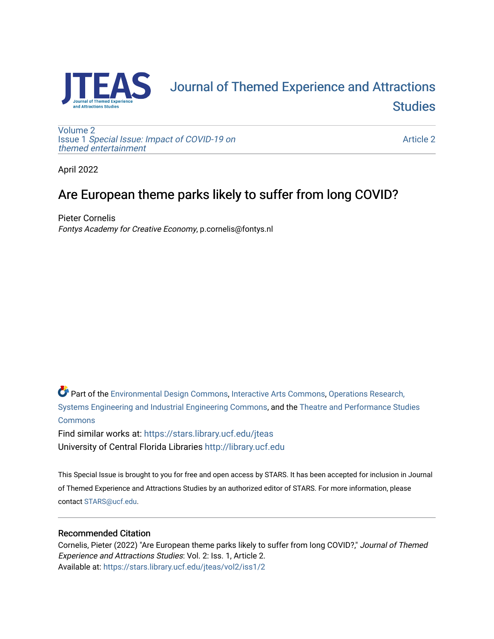

# [Journal of Themed Experience and Attractions](https://stars.library.ucf.edu/jteas)  **Studies**

[Volume 2](https://stars.library.ucf.edu/jteas/vol2) Issue 1 [Special Issue: Impact of COVID-19 on](https://stars.library.ucf.edu/jteas/vol2/iss1)  [themed entertainment](https://stars.library.ucf.edu/jteas/vol2/iss1) 

[Article 2](https://stars.library.ucf.edu/jteas/vol2/iss1/2) 

April 2022

## Are European theme parks likely to suffer from long COVID?

Pieter Cornelis Fontys Academy for Creative Economy, p.cornelis@fontys.nl

Part of the [Environmental Design Commons,](http://network.bepress.com/hgg/discipline/777?utm_source=stars.library.ucf.edu%2Fjteas%2Fvol2%2Fiss1%2F2&utm_medium=PDF&utm_campaign=PDFCoverPages) [Interactive Arts Commons](http://network.bepress.com/hgg/discipline/1136?utm_source=stars.library.ucf.edu%2Fjteas%2Fvol2%2Fiss1%2F2&utm_medium=PDF&utm_campaign=PDFCoverPages), [Operations Research,](http://network.bepress.com/hgg/discipline/305?utm_source=stars.library.ucf.edu%2Fjteas%2Fvol2%2Fiss1%2F2&utm_medium=PDF&utm_campaign=PDFCoverPages)  [Systems Engineering and Industrial Engineering Commons](http://network.bepress.com/hgg/discipline/305?utm_source=stars.library.ucf.edu%2Fjteas%2Fvol2%2Fiss1%2F2&utm_medium=PDF&utm_campaign=PDFCoverPages), and the [Theatre and Performance Studies](http://network.bepress.com/hgg/discipline/552?utm_source=stars.library.ucf.edu%2Fjteas%2Fvol2%2Fiss1%2F2&utm_medium=PDF&utm_campaign=PDFCoverPages)  [Commons](http://network.bepress.com/hgg/discipline/552?utm_source=stars.library.ucf.edu%2Fjteas%2Fvol2%2Fiss1%2F2&utm_medium=PDF&utm_campaign=PDFCoverPages)

Find similar works at: <https://stars.library.ucf.edu/jteas> University of Central Florida Libraries [http://library.ucf.edu](http://library.ucf.edu/) 

This Special Issue is brought to you for free and open access by STARS. It has been accepted for inclusion in Journal of Themed Experience and Attractions Studies by an authorized editor of STARS. For more information, please contact [STARS@ucf.edu.](mailto:STARS@ucf.edu)

## Recommended Citation

Cornelis, Pieter (2022) "Are European theme parks likely to suffer from long COVID?," Journal of Themed Experience and Attractions Studies: Vol. 2: Iss. 1, Article 2. Available at: [https://stars.library.ucf.edu/jteas/vol2/iss1/2](https://stars.library.ucf.edu/jteas/vol2/iss1/2?utm_source=stars.library.ucf.edu%2Fjteas%2Fvol2%2Fiss1%2F2&utm_medium=PDF&utm_campaign=PDFCoverPages)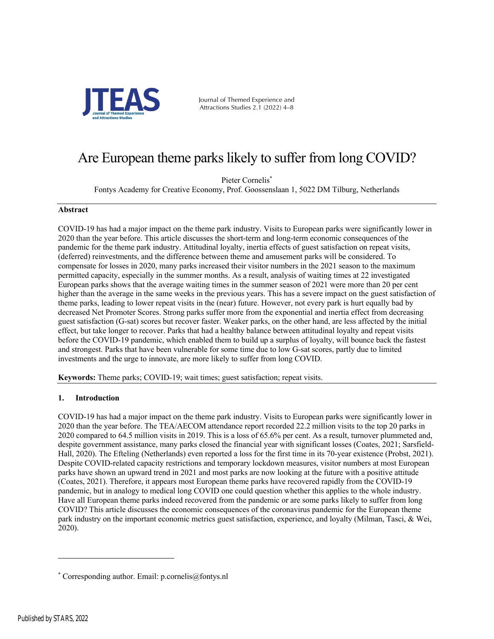

Journal of Themed Experience and Attractions Studies 2.1 (2022) 4–8

## Are European theme parks likely to suffer from long COVID?

Pieter Cornelis<sup>\*</sup>

Fontys Academy for Creative Economy, Prof. Goossenslaan 1, 5022 DM Tilburg, Netherlands

### **Abstract**

COVID-19 has had a major impact on the theme park industry. Visits to European parks were significantly lower in 2020 than the year before. This article discusses the short-term and long-term economic consequences of the pandemic for the theme park industry. Attitudinal loyalty, inertia effects of guest satisfaction on repeat visits, (deferred) reinvestments, and the difference between theme and amusement parks will be considered. To compensate for losses in 2020, many parks increased their visitor numbers in the 2021 season to the maximum permitted capacity, especially in the summer months. As a result, analysis of waiting times at 22 investigated European parks shows that the average waiting times in the summer season of 2021 were more than 20 per cent higher than the average in the same weeks in the previous years. This has a severe impact on the guest satisfaction of theme parks, leading to lower repeat visits in the (near) future. However, not every park is hurt equally bad by decreased Net Promoter Scores. Strong parks suffer more from the exponential and inertia effect from decreasing guest satisfaction (G-sat) scores but recover faster. Weaker parks, on the other hand, are less affected by the initial effect, but take longer to recover. Parks that had a healthy balance between attitudinal loyalty and repeat visits before the COVID-19 pandemic, which enabled them to build up a surplus of loyalty, will bounce back the fastest and strongest. Parks that have been vulnerable for some time due to low G-sat scores, partly due to limited investments and the urge to innovate, are more likely to suffer from long COVID.

**Keywords:** Theme parks; COVID-19; wait times; guest satisfaction; repeat visits.

## **1. Introduction**

COVID-19 has had a major impact on the theme park industry. Visits to European parks were significantly lower in 2020 than the year before. The TEA/AECOM attendance report recorded 22.2 million visits to the top 20 parks in 2020 compared to 64.5 million visits in 2019. This is a loss of 65.6% per cent. As a result, turnover plummeted and, despite government assistance, many parks closed the financial year with significant losses (Coates, 2021; Sarsfield-Hall, 2020). The Efteling (Netherlands) even reported a loss for the first time in its 70-year existence (Probst, 2021). Despite COVID-related capacity restrictions and temporary lockdown measures, visitor numbers at most European parks have shown an upward trend in 2021 and most parks are now looking at the future with a positive attitude (Coates, 2021). Therefore, it appears most European theme parks have recovered rapidly from the COVID-19 pandemic, but in analogy to medical long COVID one could question whether this applies to the whole industry. Have all European theme parks indeed recovered from the pandemic or are some parks likely to suffer from long COVID? This article discusses the economic consequences of the coronavirus pandemic for the European theme park industry on the important economic metrics guest satisfaction, experience, and loyalty (Milman, Tasci, & Wei, 2020).

<sup>\*</sup> Corresponding author. Email: p.cornelis@fontys.nl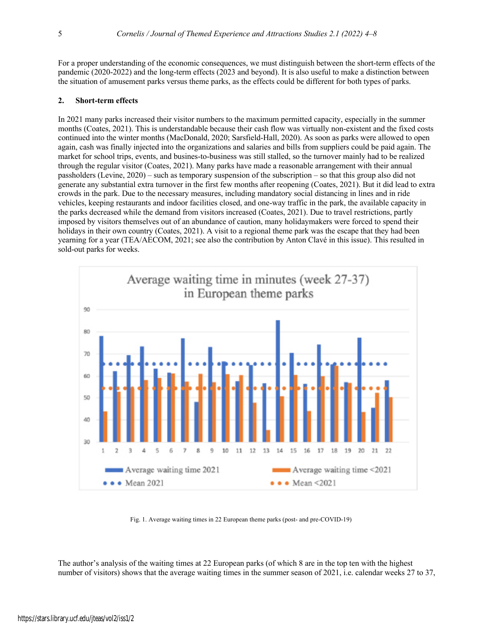For a proper understanding of the economic consequences, we must distinguish between the short-term effects of the pandemic (2020-2022) and the long-term effects (2023 and beyond). It is also useful to make a distinction between the situation of amusement parks versus theme parks, as the effects could be different for both types of parks.

### **2. Short-term effects**

In 2021 many parks increased their visitor numbers to the maximum permitted capacity, especially in the summer months (Coates, 2021). This is understandable because their cash flow was virtually non-existent and the fixed costs continued into the winter months (MacDonald, 2020; Sarsfield-Hall, 2020). As soon as parks were allowed to open again, cash was finally injected into the organizations and salaries and bills from suppliers could be paid again. The market for school trips, events, and busines-to-business was still stalled, so the turnover mainly had to be realized through the regular visitor (Coates, 2021). Many parks have made a reasonable arrangement with their annual passholders (Levine, 2020) – such as temporary suspension of the subscription – so that this group also did not generate any substantial extra turnover in the first few months after reopening (Coates, 2021). But it did lead to extra crowds in the park. Due to the necessary measures, including mandatory social distancing in lines and in ride vehicles, keeping restaurants and indoor facilities closed, and one-way traffic in the park, the available capacity in the parks decreased while the demand from visitors increased (Coates, 2021). Due to travel restrictions, partly imposed by visitors themselves out of an abundance of caution, many holidaymakers were forced to spend their holidays in their own country (Coates, 2021). A visit to a regional theme park was the escape that they had been yearning for a year (TEA/AECOM, 2021; see also the contribution by Anton Clavé in this issue). This resulted in sold-out parks for weeks.



Fig. 1. Average waiting times in 22 European theme parks (post- and pre-COVID-19)

The author's analysis of the waiting times at 22 European parks (of which 8 are in the top ten with the highest number of visitors) shows that the average waiting times in the summer season of 2021, i.e. calendar weeks 27 to 37,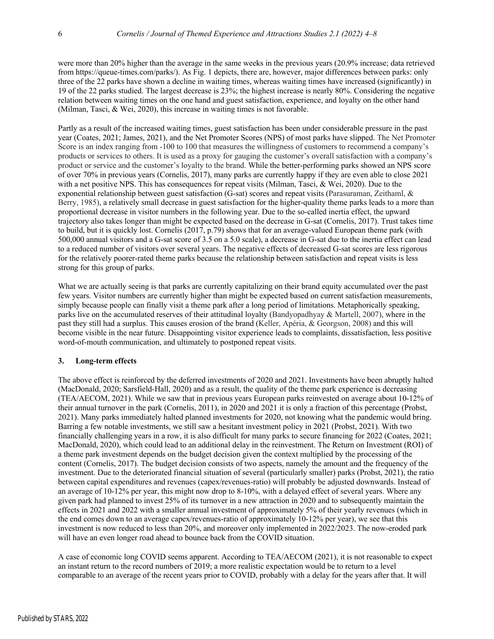were more than 20% higher than the average in the same weeks in the previous years (20.9% increase; data retrieved from https://queue-times.com/parks/). As Fig. 1 depicts, there are, however, major differences between parks: only three of the 22 parks have shown a decline in waiting times, whereas waiting times have increased (significantly) in 19 of the 22 parks studied. The largest decrease is 23%; the highest increase is nearly 80%. Considering the negative relation between waiting times on the one hand and guest satisfaction, experience, and loyalty on the other hand (Milman, Tasci, & Wei, 2020), this increase in waiting times is not favorable.

Partly as a result of the increased waiting times, guest satisfaction has been under considerable pressure in the past year (Coates, 2021; James, 2021), and the Net Promoter Scores (NPS) of most parks have slipped. The Net Promoter Score is an index ranging from -100 to 100 that measures the willingness of customers to recommend a company's products or services to others. It is used as a proxy for gauging the customer's overall satisfaction with a company's product or service and the customer's loyalty to the brand. While the better-performing parks showed an NPS score of over 70% in previous years (Cornelis, 2017), many parks are currently happy if they are even able to close 2021 with a net positive NPS. This has consequences for repeat visits (Milman, Tasci, & Wei, 2020). Due to the exponential relationship between guest satisfaction (G-sat) scores and repeat visits (Parasuraman, Zeithaml, & Berry, 1985), a relatively small decrease in guest satisfaction for the higher-quality theme parks leads to a more than proportional decrease in visitor numbers in the following year. Due to the so-called inertia effect, the upward trajectory also takes longer than might be expected based on the decrease in G-sat (Cornelis, 2017). Trust takes time to build, but it is quickly lost. Cornelis (2017, p.79) shows that for an average-valued European theme park (with 500,000 annual visitors and a G-sat score of 3.5 on a 5.0 scale), a decrease in G-sat due to the inertia effect can lead to a reduced number of visitors over several years. The negative effects of decreased G-sat scores are less rigorous for the relatively poorer-rated theme parks because the relationship between satisfaction and repeat visits is less strong for this group of parks.

What we are actually seeing is that parks are currently capitalizing on their brand equity accumulated over the past few years. Visitor numbers are currently higher than might be expected based on current satisfaction measurements, simply because people can finally visit a theme park after a long period of limitations. Metaphorically speaking, parks live on the accumulated reserves of their attitudinal loyalty (Bandyopadhyay & Martell, 2007), where in the past they still had a surplus. This causes erosion of the brand (Keller, Apéria, & Georgson, 2008) and this will become visible in the near future. Disappointing visitor experience leads to complaints, dissatisfaction, less positive word-of-mouth communication, and ultimately to postponed repeat visits.

## **3. Long-term effects**

The above effect is reinforced by the deferred investments of 2020 and 2021. Investments have been abruptly halted (MacDonald, 2020; Sarsfield-Hall, 2020) and as a result, the quality of the theme park experience is decreasing (TEA/AECOM, 2021). While we saw that in previous years European parks reinvested on average about 10-12% of their annual turnover in the park (Cornelis, 2011), in 2020 and 2021 it is only a fraction of this percentage (Probst, 2021). Many parks immediately halted planned investments for 2020, not knowing what the pandemic would bring. Barring a few notable investments, we still saw a hesitant investment policy in 2021 (Probst, 2021). With two financially challenging years in a row, it is also difficult for many parks to secure financing for 2022 (Coates, 2021; MacDonald, 2020), which could lead to an additional delay in the reinvestment. The Return on Investment (ROI) of a theme park investment depends on the budget decision given the context multiplied by the processing of the content (Cornelis, 2017). The budget decision consists of two aspects, namely the amount and the frequency of the investment. Due to the deteriorated financial situation of several (particularly smaller) parks (Probst, 2021), the ratio between capital expenditures and revenues (capex/revenues-ratio) will probably be adjusted downwards. Instead of an average of 10-12% per year, this might now drop to 8-10%, with a delayed effect of several years. Where any given park had planned to invest 25% of its turnover in a new attraction in 2020 and to subsequently maintain the effects in 2021 and 2022 with a smaller annual investment of approximately 5% of their yearly revenues (which in the end comes down to an average capex/revenues-ratio of approximately 10-12% per year), we see that this investment is now reduced to less than 20%, and moreover only implemented in 2022/2023. The now-eroded park will have an even longer road ahead to bounce back from the COVID situation.

A case of economic long COVID seems apparent. According to TEA/AECOM (2021), it is not reasonable to expect an instant return to the record numbers of 2019; a more realistic expectation would be to return to a level comparable to an average of the recent years prior to COVID, probably with a delay for the years after that. It will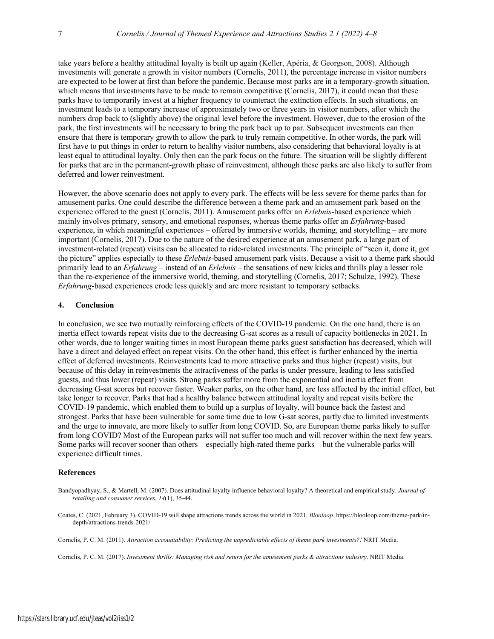take years before a healthy attitudinal loyalty is built up again (Keller, Apéria, & Georgson, 2008). Although investments will generate a growth in visitor numbers (Cornelis, 2011), the percentage increase in visitor numbers are expected to be lower at first than before the pandemic. Because most parks are in a temporary-growth situation, which means that investments have to be made to remain competitive (Cornelis, 2017), it could mean that these parks have to temporarily invest at a higher frequency to counteract the extinction effects. In such situations, an investment leads to a temporary increase of approximately two or three years in visitor numbers, after which the numbers drop back to (slightly above) the original level before the investment. However, due to the erosion of the park, the first investments will be necessary to bring the park back up to par. Subsequent investments can then ensure that there is temporary growth to allow the park to truly remain competitive. In other words, the park will first have to put things in order to return to healthy visitor numbers, also considering that behavioral loyalty is at least equal to attitudinal loyalty. Only then can the park focus on the future. The situation will be slightly different for parks that are in the permanent-growth phase of reinvestment, although these parks are also likely to suffer from deferred and lower reinvestment.

However, the above scenario does not apply to every park. The effects will be less severe for theme parks than for amusement parks. One could describe the difference between a theme park and an amusement park based on the experience offered to the guest (Cornelis, 2011). Amusement parks offer an *Erlebnis*-based experience which mainly involves primary, sensory, and emotional responses, whereas theme parks offer an *Erfahrung*-based experience, in which meaningful experiences – offered by immersive worlds, theming, and storytelling – are more important (Cornelis, 2017). Due to the nature of the desired experience at an amusement park, a large part of investment-related (repeat) visits can be allocated to ride-related investments. The principle of "seen it, done it, got the picture" applies especially to these *Erlebnis*-based amusement park visits. Because a visit to a theme park should primarily lead to an *Erfahrung* – instead of an *Erlebnis* – the sensations of new kicks and thrills play a lesser role than the re-experience of the immersive world, theming, and storytelling (Cornelis, 2017; Schulze, 1992). These *Erfahrung*-based experiences erode less quickly and are more resistant to temporary setbacks.

### **4. Conclusion**

In conclusion, we see two mutually reinforcing effects of the COVID-19 pandemic. On the one hand, there is an inertia effect towards repeat visits due to the decreasing G-sat scores as a result of capacity bottlenecks in 2021. In other words, due to longer waiting times in most European theme parks guest satisfaction has decreased, which will have a direct and delayed effect on repeat visits. On the other hand, this effect is further enhanced by the inertia effect of deferred investments. Reinvestments lead to more attractive parks and thus higher (repeat) visits, but because of this delay in reinvestments the attractiveness of the parks is under pressure, leading to less satisfied guests, and thus lower (repeat) visits. Strong parks suffer more from the exponential and inertia effect from decreasing G-sat scores but recover faster. Weaker parks, on the other hand, are less affected by the initial effect, but take longer to recover. Parks that had a healthy balance between attitudinal loyalty and repeat visits before the COVID-19 pandemic, which enabled them to build up a surplus of loyalty, will bounce back the fastest and strongest. Parks that have been vulnerable for some time due to low G-sat scores, partly due to limited investments and the urge to innovate, are more likely to suffer from long COVID. So, are European theme parks likely to suffer from long COVID? Most of the European parks will not suffer too much and will recover within the next few years. Some parks will recover sooner than others – especially high-rated theme parks – but the vulnerable parks will experience difficult times.

#### **References**

- Bandyopadhyay, S., & Martell, M. (2007). Does attitudinal loyalty influence behavioral loyalty? A theoretical and empirical study. *Journal of retailing and consumer services*, *14*(1), 35-44.
- Coates, C. (2021, February 3). COVID-19 will shape attractions trends across the world in 2021*. Blooloop.* https://blooloop.com/theme-park/indepth/attractions-trends-2021/

Cornelis, P. C. M. (2011). *Attraction accountability: Predicting the unpredictable effects of theme park investments?!* NRIT Media.

Cornelis, P. C. M. (2017). *Investment thrills: Managing risk and return for the amusement parks & attractions industry*. NRIT Media.